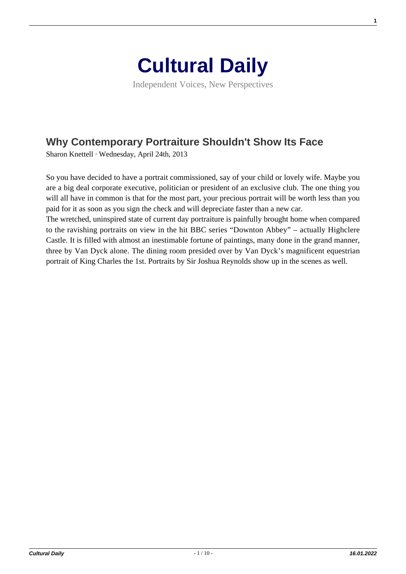

Independent Voices, New Perspectives

## **[Why Contemporary Portraiture Shouldn't Show Its Face](https://culturaldaily.com/why-contemporary-portraiture-shouldnt-show-its-face/)**

Sharon Knettell · Wednesday, April 24th, 2013

So you have decided to have a portrait commissioned, say of your child or lovely wife. Maybe you are a big deal corporate executive, politician or president of an exclusive club. The one thing you will all have in common is that for the most part, your precious portrait will be worth less than you paid for it as soon as you sign the check and will depreciate faster than a new car.

The wretched, uninspired state of current day portraiture is painfully brought home when compared to the ravishing portraits on view in the hit BBC series "Downton Abbey" – actually Highclere Castle. It is filled with almost an inestimable fortune of paintings, many done in the grand manner, three by Van Dyck alone. The dining room presided over by Van Dyck's magnificent equestrian portrait of King Charles the 1st. Portraits by Sir Joshua Reynolds show up in the scenes as well.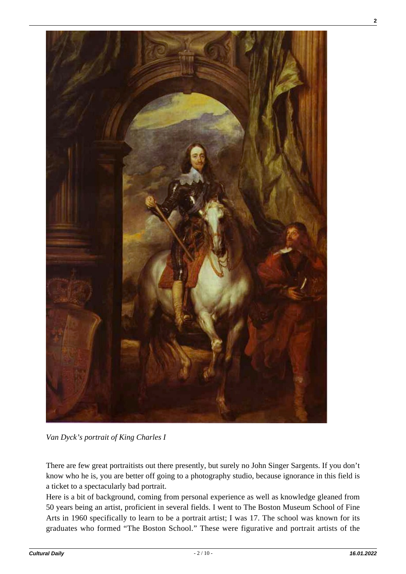

*Van Dyck's portrait of King Charles I*

There are few great portraitists out there presently, but surely no John Singer Sargents. If you don't know who he is, you are better off going to a photography studio, because ignorance in this field is a ticket to a spectacularly bad portrait.

Here is a bit of background, coming from personal experience as well as knowledge gleaned from 50 years being an artist, proficient in several fields. I went to The Boston Museum School of Fine Arts in 1960 specifically to learn to be a portrait artist; I was 17. The school was known for its graduates who formed "The Boston School." These were figurative and portrait artists of the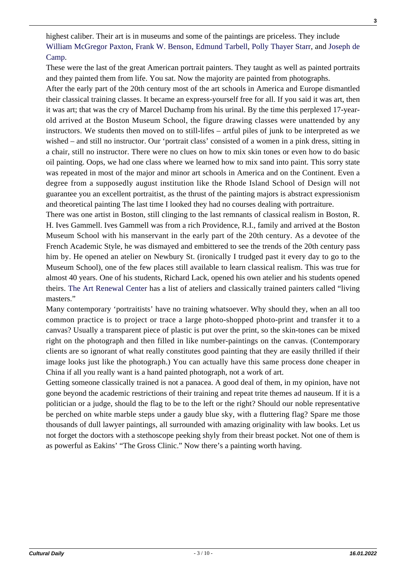highest caliber. Their art is in museums and some of the paintings are priceless. They include [William McGregor Paxton,](http://en.wikipedia.org/wiki/William_McGregor_Paxton) [Frank W. Benson](http://www.frankwbenson.com/bensonbio.html), [Edmund Tarbell](http://en.wikipedia.org/wiki/Edmund_C._Tarbell), [Polly Thayer Starr,](http://pollythayerstarr.org/) and [Joseph de](http://en.wikipedia.org/wiki/Joseph_DeCamp) [Camp](http://en.wikipedia.org/wiki/Joseph_DeCamp).

These were the last of the great American portrait painters. They taught as well as painted portraits and they painted them from life. You sat. Now the majority are painted from photographs.

After the early part of the 20th century most of the art schools in America and Europe dismantled their classical training classes. It became an express-yourself free for all. If you said it was art, then it was art; that was the cry of Marcel Duchamp from his urinal. By the time this perplexed 17-yearold arrived at the Boston Museum School, the figure drawing classes were unattended by any instructors. We students then moved on to still-lifes – artful piles of junk to be interpreted as we wished – and still no instructor. Our 'portrait class' consisted of a women in a pink dress, sitting in a chair, still no instructor. There were no clues on how to mix skin tones or even how to do basic oil painting. Oops, we had one class where we learned how to mix sand into paint. This sorry state was repeated in most of the major and minor art schools in America and on the Continent. Even a degree from a supposedly august institution like the Rhode Island School of Design will not guarantee you an excellent portraitist, as the thrust of the painting majors is abstract expressionism and theoretical painting The last time I looked they had no courses dealing with portraiture.

There was one artist in Boston, still clinging to the last remnants of classical realism in Boston, R. H. Ives Gammell. Ives Gammell was from a rich Providence, R.I., family and arrived at the Boston Museum School with his manservant in the early part of the 20th century. As a devotee of the French Academic Style, he was dismayed and embittered to see the trends of the 20th century pass him by. He opened an atelier on Newbury St. (ironically I trudged past it every day to go to the Museum School), one of the few places still available to learn classical realism. This was true for almost 40 years. One of his students, Richard Lack, opened his own atelier and his students opened theirs. [The Art Renewal Center](http://www.artrenewal.org/) has a list of ateliers and classically trained painters called "living masters."

Many contemporary 'portraitists' have no training whatsoever. Why should they, when an all too common practice is to project or trace a large photo-shopped photo-print and transfer it to a canvas? Usually a transparent piece of plastic is put over the print, so the skin-tones can be mixed right on the photograph and then filled in like number-paintings on the canvas. (Contemporary clients are so ignorant of what really constitutes good painting that they are easily thrilled if their image looks just like the photograph.) You can actually have this same process done cheaper in China if all you really want is a hand painted photograph, not a work of art.

Getting someone classically trained is not a panacea. A good deal of them, in my opinion, have not gone beyond the academic restrictions of their training and repeat trite themes ad nauseum. If it is a politician or a judge, should the flag to be to the left or the right? Should our noble representative be perched on white marble steps under a gaudy blue sky, with a fluttering flag? Spare me those thousands of dull lawyer paintings, all surrounded with amazing originality with law books. Let us not forget the doctors with a stethoscope peeking shyly from their breast pocket. Not one of them is as powerful as Eakins' "The Gross Clinic." Now there's a painting worth having.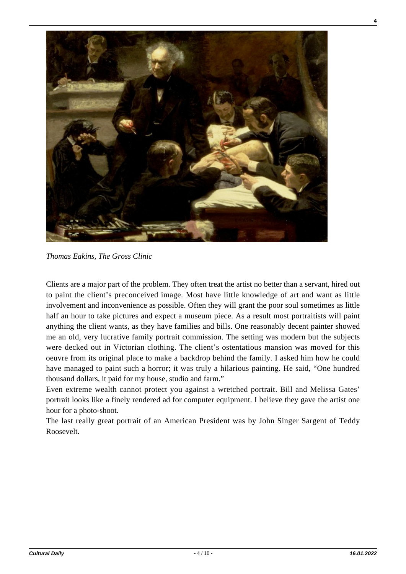

*Thomas Eakins, The Gross Clinic*

Clients are a major part of the problem. They often treat the artist no better than a servant, hired out to paint the client's preconceived image. Most have little knowledge of art and want as little involvement and inconvenience as possible. Often they will grant the poor soul sometimes as little half an hour to take pictures and expect a museum piece. As a result most portraitists will paint anything the client wants, as they have families and bills. One reasonably decent painter showed me an old, very lucrative family portrait commission. The setting was modern but the subjects were decked out in Victorian clothing. The client's ostentatious mansion was moved for this oeuvre from its original place to make a backdrop behind the family. I asked him how he could have managed to paint such a horror; it was truly a hilarious painting. He said, "One hundred thousand dollars, it paid for my house, studio and farm."

Even extreme wealth cannot protect you against a wretched portrait. Bill and Melissa Gates' portrait looks like a finely rendered ad for computer equipment. I believe they gave the artist one hour for a photo-shoot.

The last really great portrait of an American President was by John Singer Sargent of Teddy Roosevelt.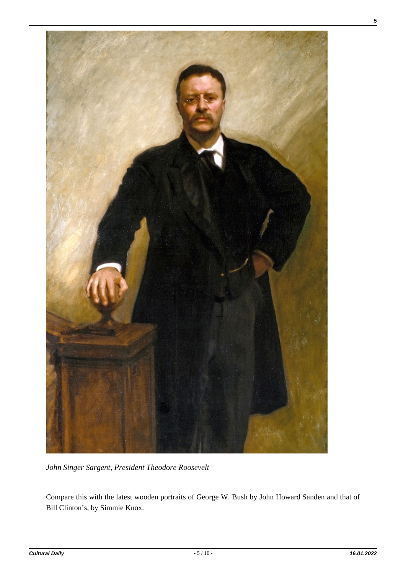

*John Singer Sargent, President Theodore Roosevelt*

Compare this with the latest wooden portraits of George W. Bush by John Howard Sanden and that of Bill Clinton's, by Simmie Knox.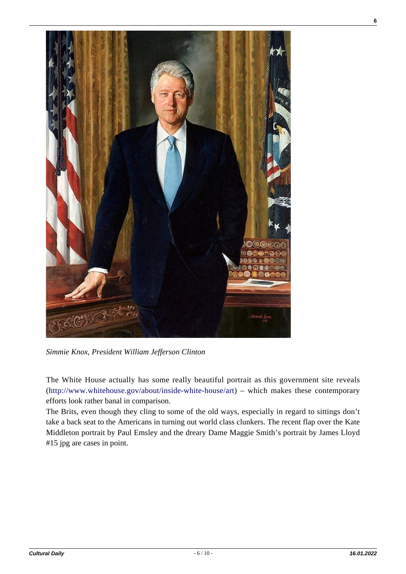

*Simmie Knox, President William Jefferson Clinton*

The White House actually has some really beautiful portrait as this government site reveals ([http://www.whitehouse.gov/about/inside-white-house/art\)](http://www.whitehouse.gov/about/inside-white-house/art) – which makes these contemporary efforts look rather banal in comparison.

The Brits, even though they cling to some of the old ways, especially in regard to sittings don't take a back seat to the Americans in turning out world class clunkers. The recent flap over the Kate Middleton portrait by Paul Emsley and the dreary Dame Maggie Smith's portrait by James Lloyd #15 jpg are cases in point.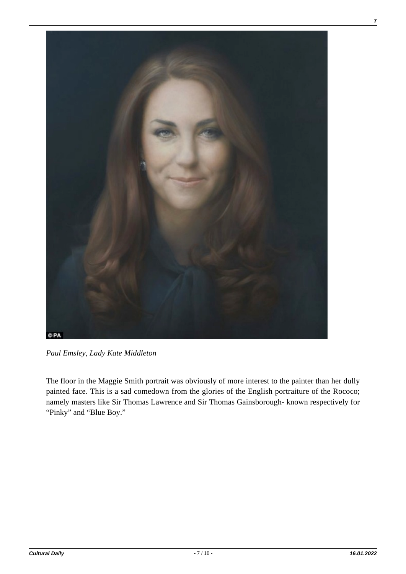

*Paul Emsley, Lady Kate Middleton*

The floor in the Maggie Smith portrait was obviously of more interest to the painter than her dully painted face. This is a sad comedown from the glories of the English portraiture of the Rococo; namely masters like Sir Thomas Lawrence and Sir Thomas Gainsborough- known respectively for "Pinky" and "Blue Boy."

**7**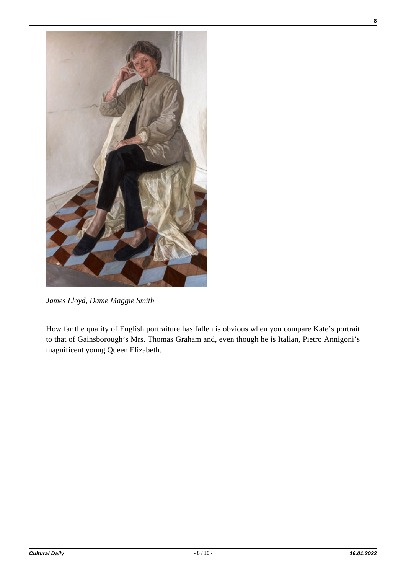

*James Lloyd, Dame Maggie Smith*

How far the quality of English portraiture has fallen is obvious when you compare Kate's portrait to that of Gainsborough's Mrs. Thomas Graham and, even though he is Italian, Pietro Annigoni's magnificent young Queen Elizabeth.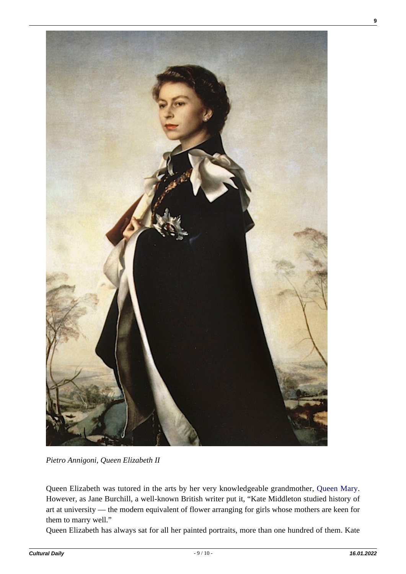

*Pietro Annigoni, Queen Elizabeth II*

Queen Elizabeth was tutored in the arts by her very knowledgeable grandmother, [Queen Mary.](http://en.wikipedia.org/wiki/Mary_of_Teck) However, as Jane Burchill, a well-known British writer put it, "Kate Middleton studied history of art at university — the modern equivalent of flower arranging for girls whose mothers are keen for them to marry well."

Queen Elizabeth has always sat for all her painted portraits, more than one hundred of them. Kate